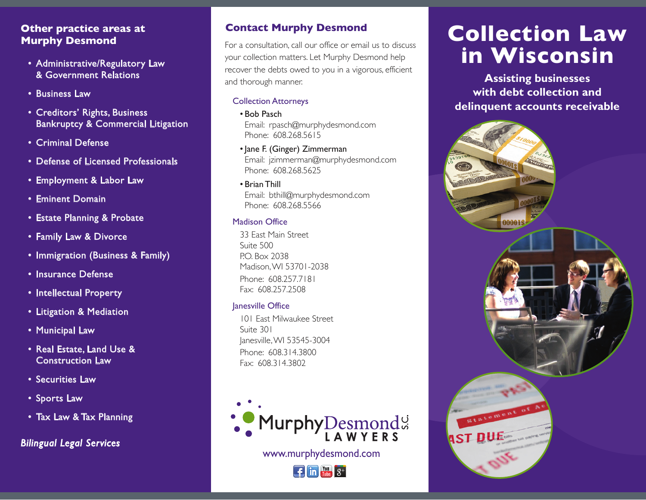# **Other practice areas at Murphy Desmond**

- Administrative/Regulatory Law & Government Relations
- Business Law
- Creditors' Rights, Business Bankruptcy & Commercial Litigation
- Criminal Defense
- Defense of Licensed Professionals
- Employment & Labor Law
- Eminent Domain
- Estate Planning & Probate
- Family Law & Divorce
- Immigration (Business & Family)
- Insurance Defense
- Intellectual Property
- Litigation & Mediation
- Municipal Law
- Real Estate, Land Use & Construction Law
- Securities Law
- Sports Law
- Tax Law & Tax Planning

*Bilingual Legal Services*

# **Contact Murphy Desmond**

For a consultation, call our office or email us to discuss your collection matters. Let Murphy Desmond help recover the debts owed to you in a vigorous, efficient and thorough manner.

# Collection Attorneys

• Bob Pasch

 Email: rpasch@murphydesmond.com Phone: 608.268.5615

- Jane F. (Ginger) Zimmerman Email: jzimmerman@murphydesmond.com Phone: 608.268.5625
- Brian Thill Email: bthill@murphydesmond.com Phone: 608.268.5566

# Madison Office

33 East Main Street Suite 500 P.O. Box 2038 Madison, WI 53701-2038 Phone: 608.257.7181 Fax: 608.257.2508

# Janesville Office

 101 East Milwaukee Street Suite 301 Janesville, WI 53545-3004 Phone: 608.314.3800 Fax: 608.314.3802



www.murphydesmond.com



# **Collection Law in Wisconsin**

**Assisting businesses with debt collection and delinquent accounts receivable**